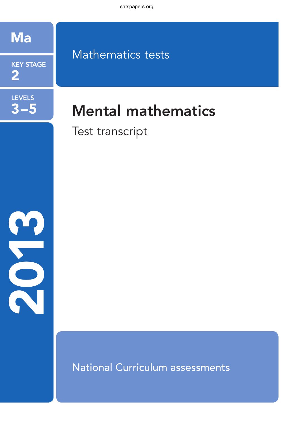

**LEVELS** 

 $3 - 5$ 

## **KEY STAGE** 2

# Mathematics tests

# **Mental mathematics**

Test transcript



**National Curriculum assessments**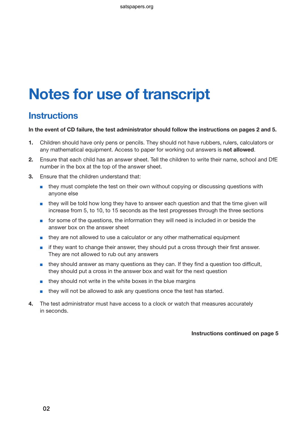# Notes for use of transcript

## **Instructions**

#### In the event of CD failure, the test administrator should follow the instructions on pages 2 and 5.

- 1. Children should have only pens or pencils. They should not have rubbers, rulers, calculators or any mathematical equipment. Access to paper for working out answers is not allowed.
- 2. Ensure that each child has an answer sheet. Tell the children to write their name, school and DfE number in the box at the top of the answer sheet.
- 3. Ensure that the children understand that:
	- they must complete the test on their own without copying or discussing questions with anyone else
	- they will be told how long they have to answer each question and that the time given will increase from 5, to 10, to 15 seconds as the test progresses through the three sections
	- for some of the questions, the information they will need is included in or beside the answer box on the answer sheet
	- they are not allowed to use a calculator or any other mathematical equipment
	- if they want to change their answer, they should put a cross through their first answer. They are not allowed to rub out any answers
	- they should answer as many questions as they can. If they find a question too difficult, they should put a cross in the answer box and wait for the next question
	- they should not write in the white boxes in the blue margins
	- they will not be allowed to ask any questions once the test has started.
- 4. The test administrator must have access to a clock or watch that measures accurately in seconds.

#### Instructions continued on page 5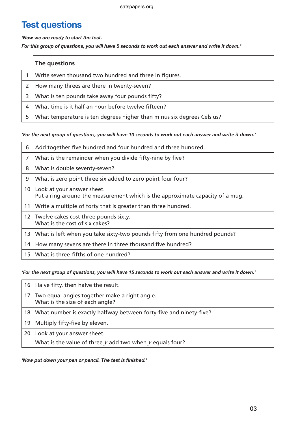## Test questions

*'Now we are ready to start the test.* 

*For this group of questions, you will have 5 seconds to work out each answer and write it down.'*

|   | The questions                                                          |
|---|------------------------------------------------------------------------|
|   | Write seven thousand two hundred and three in figures.                 |
|   | How many threes are there in twenty-seven?                             |
|   | What is ten pounds take away four pounds fifty?                        |
| 4 | What time is it half an hour before twelve fifteen?                    |
|   | What temperature is ten degrees higher than minus six degrees Celsius? |

#### *'For the next group of questions, you will have 10 seconds to work out each answer and write it down.'*

| 6               | Add together five hundred and four hundred and three hundred.                                               |
|-----------------|-------------------------------------------------------------------------------------------------------------|
| $\overline{7}$  | What is the remainder when you divide fifty-nine by five?                                                   |
| 8               | What is double seventy-seven?                                                                               |
| 9               | What is zero point three six added to zero point four four?                                                 |
| 10 <sup>°</sup> | Look at your answer sheet.<br>Put a ring around the measurement which is the approximate capacity of a mug. |
| 11              | Write a multiple of forty that is greater than three hundred.                                               |
| 12 <sup>1</sup> | Twelve cakes cost three pounds sixty.<br>What is the cost of six cakes?                                     |
| 13              | What is left when you take sixty-two pounds fifty from one hundred pounds?                                  |
| 14              | How many sevens are there in three thousand five hundred?                                                   |
| 15              | What is three-fifths of one hundred?                                                                        |

*'For the next group of questions, you will have 15 seconds to work out each answer and write it down.'*

|                 | 16   Halve fifty, then halve the result.                                            |
|-----------------|-------------------------------------------------------------------------------------|
|                 | 17 Two equal angles together make a right angle.<br>What is the size of each angle? |
| 18 <sup>1</sup> | What number is exactly halfway between forty-five and ninety-five?                  |
| 19 <sup>1</sup> | Multiply fifty-five by eleven.                                                      |
| 20              | Look at your answer sheet.                                                          |
|                 | What is the value of three $y$ add two when $y$ equals four?                        |

*'Now put down your pen or pencil. The test is finished.'*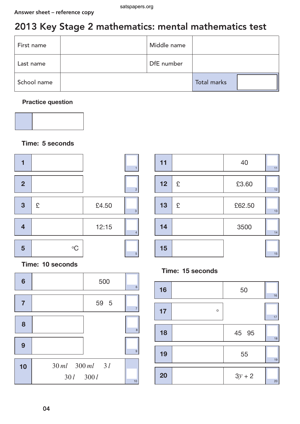# 2013 Key Stage 2 mathematics: mental mathematics test

| First name  | Middle name |                    |  |
|-------------|-------------|--------------------|--|
| Last name   | DfE number  |                    |  |
| School name |             | <b>Total marks</b> |  |

### Practice question



### Time: 5 seconds



Time: 10 seconds





### Time: 15 seconds

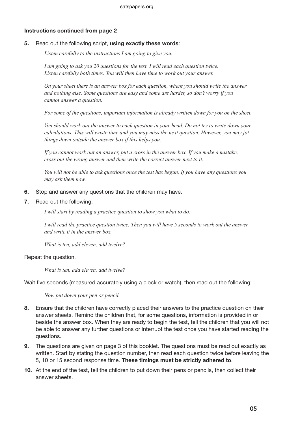#### Instructions continued from page 2

#### 5. Read out the following script, using exactly these words:

*Listen carefully to the instructions I am going to give you.* 

*I am going to ask you 20 questions for the test. I will read each question twice. Listen carefully both times. You will then have time to work out your answer.* 

*On your sheet there is an answer box for each question, where you should write the answer and nothing else. Some questions are easy and some are harder, so don't worry if you cannot answer a question.* 

*For some of the questions, important information is already written down for you on the sheet.*

*You should work out the answer to each question in your head. Do not try to write down your calculations. This will waste time and you may miss the next question. However, you may jot things down outside the answer box if this helps you.* 

*If you cannot work out an answer, put a cross in the answer box. If you make a mistake, cross out the wrong answer and then write the correct answer next to it.*

*You will not be able to ask questions once the test has begun. If you have any questions you may ask them now.*

- 6. Stop and answer any questions that the children may have.
- 7. Read out the following:

*I will start by reading a practice question to show you what to do.*

*I will read the practice question twice. Then you will have 5 seconds to work out the answer and write it in the answer box.*

*What is ten, add eleven, add twelve?*

Repeat the question.

*What is ten, add eleven, add twelve?*

Wait five seconds (measured accurately using a clock or watch), then read out the following:

*Now put down your pen or pencil.*

- 8. Ensure that the children have correctly placed their answers to the practice question on their answer sheets. Remind the children that, for some questions, information is provided in or beside the answer box. When they are ready to begin the test, tell the children that you will not be able to answer any further questions or interrupt the test once you have started reading the questions.
- 9. The questions are given on page 3 of this booklet. The questions must be read out exactly as written. Start by stating the question number, then read each question twice before leaving the 5, 10 or 15 second response time. These timings must be strictly adhered to.
- 10. At the end of the test, tell the children to put down their pens or pencils, then collect their answer sheets.